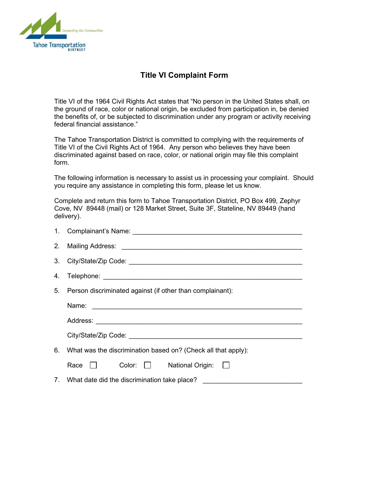

## **Title VI Complaint Form**

Title VI of the 1964 Civil Rights Act states that "No person in the United States shall, on the ground of race, color or national origin, be excluded from participation in, be denied the benefits of, or be subjected to discrimination under any program or activity receiving federal financial assistance."

The Tahoe Transportation District is committed to complying with the requirements of Title VI of the Civil Rights Act of 1964. Any person who believes they have been discriminated against based on race, color, or national origin may file this complaint form.

The following information is necessary to assist us in processing your complaint. Should you require any assistance in completing this form, please let us know.

Complete and return this form to Tahoe Transportation District, PO Box 499, Zephyr Cove, NV 89448 (mail) or 128 Market Street, Suite 3F, Stateline, NV 89449 (hand delivery).

|                                                                  | 5. Person discriminated against (if other than complainant):                     |  |  |  |  |  |  |  |
|------------------------------------------------------------------|----------------------------------------------------------------------------------|--|--|--|--|--|--|--|
|                                                                  |                                                                                  |  |  |  |  |  |  |  |
|                                                                  |                                                                                  |  |  |  |  |  |  |  |
|                                                                  |                                                                                  |  |  |  |  |  |  |  |
| 6. What was the discrimination based on? (Check all that apply): |                                                                                  |  |  |  |  |  |  |  |
|                                                                  | Race $\Box$ Color: $\Box$ National Origin: $\Box$                                |  |  |  |  |  |  |  |
|                                                                  | 7. What date did the discrimination take place? ________________________________ |  |  |  |  |  |  |  |
|                                                                  |                                                                                  |  |  |  |  |  |  |  |